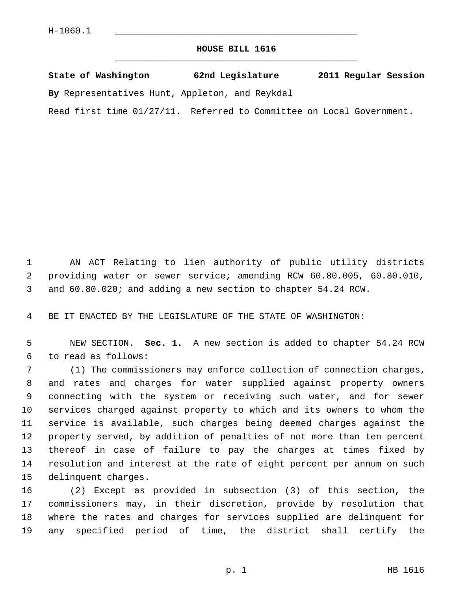## **HOUSE BILL 1616** \_\_\_\_\_\_\_\_\_\_\_\_\_\_\_\_\_\_\_\_\_\_\_\_\_\_\_\_\_\_\_\_\_\_\_\_\_\_\_\_\_\_\_\_\_

|  | State of Washington | 62nd Legislature | 2011 Regular Session |  |
|--|---------------------|------------------|----------------------|--|
|  |                     |                  |                      |  |

**By** Representatives Hunt, Appleton, and Reykdal

Read first time 01/27/11. Referred to Committee on Local Government.

 1 AN ACT Relating to lien authority of public utility districts 2 providing water or sewer service; amending RCW 60.80.005, 60.80.010, 3 and 60.80.020; and adding a new section to chapter 54.24 RCW.

4 BE IT ENACTED BY THE LEGISLATURE OF THE STATE OF WASHINGTON:

 5 NEW SECTION. **Sec. 1.** A new section is added to chapter 54.24 RCW 6 to read as follows:

 7 (1) The commissioners may enforce collection of connection charges, 8 and rates and charges for water supplied against property owners 9 connecting with the system or receiving such water, and for sewer 10 services charged against property to which and its owners to whom the 11 service is available, such charges being deemed charges against the 12 property served, by addition of penalties of not more than ten percent 13 thereof in case of failure to pay the charges at times fixed by 14 resolution and interest at the rate of eight percent per annum on such 15 delinquent charges.

16 (2) Except as provided in subsection (3) of this section, the 17 commissioners may, in their discretion, provide by resolution that 18 where the rates and charges for services supplied are delinquent for 19 any specified period of time, the district shall certify the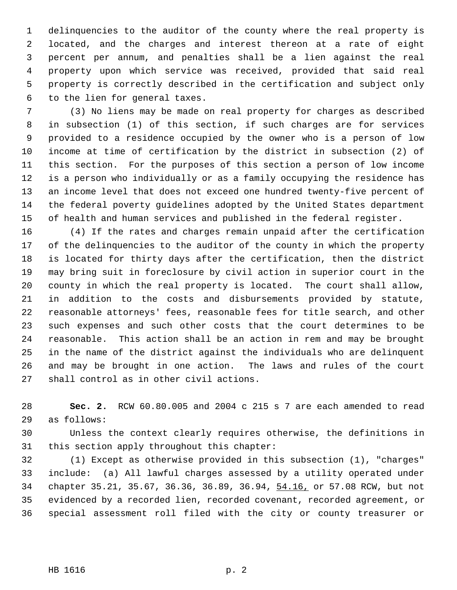1 delinquencies to the auditor of the county where the real property is 2 located, and the charges and interest thereon at a rate of eight 3 percent per annum, and penalties shall be a lien against the real 4 property upon which service was received, provided that said real 5 property is correctly described in the certification and subject only 6 to the lien for general taxes.

 7 (3) No liens may be made on real property for charges as described 8 in subsection (1) of this section, if such charges are for services 9 provided to a residence occupied by the owner who is a person of low 10 income at time of certification by the district in subsection (2) of 11 this section. For the purposes of this section a person of low income 12 is a person who individually or as a family occupying the residence has 13 an income level that does not exceed one hundred twenty-five percent of 14 the federal poverty guidelines adopted by the United States department 15 of health and human services and published in the federal register.

16 (4) If the rates and charges remain unpaid after the certification 17 of the delinquencies to the auditor of the county in which the property 18 is located for thirty days after the certification, then the district 19 may bring suit in foreclosure by civil action in superior court in the 20 county in which the real property is located. The court shall allow, 21 in addition to the costs and disbursements provided by statute, 22 reasonable attorneys' fees, reasonable fees for title search, and other 23 such expenses and such other costs that the court determines to be 24 reasonable. This action shall be an action in rem and may be brought 25 in the name of the district against the individuals who are delinquent 26 and may be brought in one action. The laws and rules of the court 27 shall control as in other civil actions.

28 **Sec. 2.** RCW 60.80.005 and 2004 c 215 s 7 are each amended to read 29 as follows:

30 Unless the context clearly requires otherwise, the definitions in 31 this section apply throughout this chapter:

32 (1) Except as otherwise provided in this subsection (1), "charges" 33 include: (a) All lawful charges assessed by a utility operated under 34 chapter 35.21, 35.67, 36.36, 36.89, 36.94, 54.16, or 57.08 RCW, but not 35 evidenced by a recorded lien, recorded covenant, recorded agreement, or 36 special assessment roll filed with the city or county treasurer or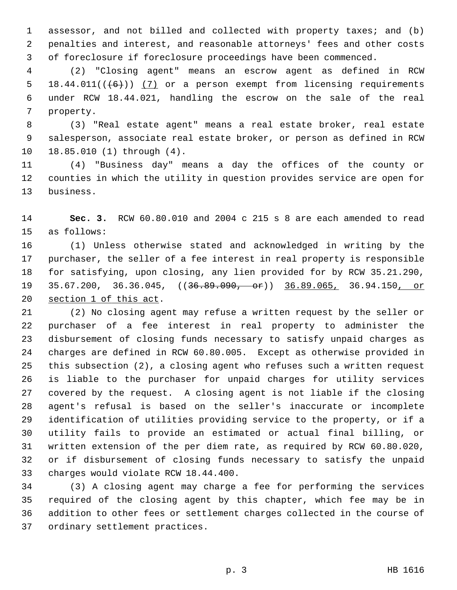1 assessor, and not billed and collected with property taxes; and (b) 2 penalties and interest, and reasonable attorneys' fees and other costs 3 of foreclosure if foreclosure proceedings have been commenced.

 4 (2) "Closing agent" means an escrow agent as defined in RCW 5 18.44.011 $((\lbrace 6 \rbrace) )$  (7) or a person exempt from licensing requirements 6 under RCW 18.44.021, handling the escrow on the sale of the real 7 property.

 8 (3) "Real estate agent" means a real estate broker, real estate 9 salesperson, associate real estate broker, or person as defined in RCW 10 18.85.010 (1) through (4).

11 (4) "Business day" means a day the offices of the county or 12 counties in which the utility in question provides service are open for 13 business.

14 **Sec. 3.** RCW 60.80.010 and 2004 c 215 s 8 are each amended to read 15 as follows:

16 (1) Unless otherwise stated and acknowledged in writing by the 17 purchaser, the seller of a fee interest in real property is responsible 18 for satisfying, upon closing, any lien provided for by RCW 35.21.290, 19 35.67.200, 36.36.045, ((36.89.090, or)) 36.89.065, 36.94.150, or 20 section 1 of this act.

21 (2) No closing agent may refuse a written request by the seller or 22 purchaser of a fee interest in real property to administer the 23 disbursement of closing funds necessary to satisfy unpaid charges as 24 charges are defined in RCW 60.80.005. Except as otherwise provided in 25 this subsection (2), a closing agent who refuses such a written request 26 is liable to the purchaser for unpaid charges for utility services 27 covered by the request. A closing agent is not liable if the closing 28 agent's refusal is based on the seller's inaccurate or incomplete 29 identification of utilities providing service to the property, or if a 30 utility fails to provide an estimated or actual final billing, or 31 written extension of the per diem rate, as required by RCW 60.80.020, 32 or if disbursement of closing funds necessary to satisfy the unpaid 33 charges would violate RCW 18.44.400.

34 (3) A closing agent may charge a fee for performing the services 35 required of the closing agent by this chapter, which fee may be in 36 addition to other fees or settlement charges collected in the course of 37 ordinary settlement practices.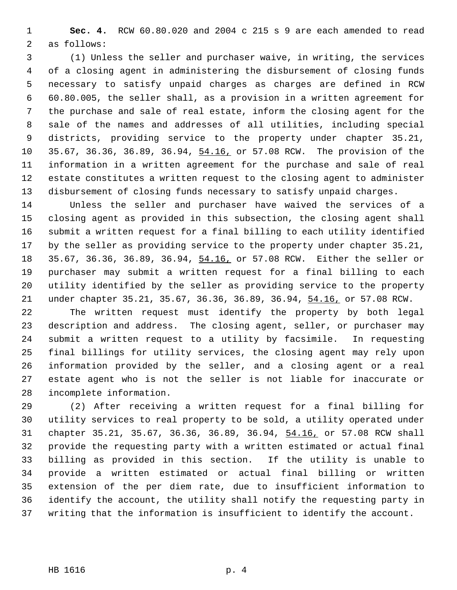1 **Sec. 4.** RCW 60.80.020 and 2004 c 215 s 9 are each amended to read 2 as follows:

 3 (1) Unless the seller and purchaser waive, in writing, the services 4 of a closing agent in administering the disbursement of closing funds 5 necessary to satisfy unpaid charges as charges are defined in RCW 6 60.80.005, the seller shall, as a provision in a written agreement for 7 the purchase and sale of real estate, inform the closing agent for the 8 sale of the names and addresses of all utilities, including special 9 districts, providing service to the property under chapter 35.21, 10 35.67, 36.36, 36.89, 36.94, 54.16, or 57.08 RCW. The provision of the 11 information in a written agreement for the purchase and sale of real 12 estate constitutes a written request to the closing agent to administer 13 disbursement of closing funds necessary to satisfy unpaid charges.

14 Unless the seller and purchaser have waived the services of a 15 closing agent as provided in this subsection, the closing agent shall 16 submit a written request for a final billing to each utility identified 17 by the seller as providing service to the property under chapter 35.21, 18 35.67, 36.36, 36.89, 36.94, 54.16, or 57.08 RCW. Either the seller or 19 purchaser may submit a written request for a final billing to each 20 utility identified by the seller as providing service to the property 21 under chapter 35.21, 35.67, 36.36, 36.89, 36.94, 54.16, or 57.08 RCW.

22 The written request must identify the property by both legal 23 description and address. The closing agent, seller, or purchaser may 24 submit a written request to a utility by facsimile. In requesting 25 final billings for utility services, the closing agent may rely upon 26 information provided by the seller, and a closing agent or a real 27 estate agent who is not the seller is not liable for inaccurate or 28 incomplete information.

29 (2) After receiving a written request for a final billing for 30 utility services to real property to be sold, a utility operated under 31 chapter 35.21, 35.67, 36.36, 36.89, 36.94, 54.16, or 57.08 RCW shall 32 provide the requesting party with a written estimated or actual final 33 billing as provided in this section. If the utility is unable to 34 provide a written estimated or actual final billing or written 35 extension of the per diem rate, due to insufficient information to 36 identify the account, the utility shall notify the requesting party in 37 writing that the information is insufficient to identify the account.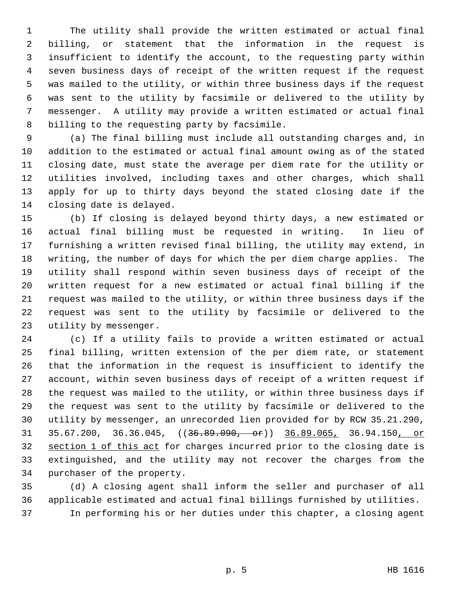1 The utility shall provide the written estimated or actual final 2 billing, or statement that the information in the request is 3 insufficient to identify the account, to the requesting party within 4 seven business days of receipt of the written request if the request 5 was mailed to the utility, or within three business days if the request 6 was sent to the utility by facsimile or delivered to the utility by 7 messenger. A utility may provide a written estimated or actual final 8 billing to the requesting party by facsimile.

 9 (a) The final billing must include all outstanding charges and, in 10 addition to the estimated or actual final amount owing as of the stated 11 closing date, must state the average per diem rate for the utility or 12 utilities involved, including taxes and other charges, which shall 13 apply for up to thirty days beyond the stated closing date if the 14 closing date is delayed.

15 (b) If closing is delayed beyond thirty days, a new estimated or 16 actual final billing must be requested in writing. In lieu of 17 furnishing a written revised final billing, the utility may extend, in 18 writing, the number of days for which the per diem charge applies. The 19 utility shall respond within seven business days of receipt of the 20 written request for a new estimated or actual final billing if the 21 request was mailed to the utility, or within three business days if the 22 request was sent to the utility by facsimile or delivered to the 23 utility by messenger.

24 (c) If a utility fails to provide a written estimated or actual 25 final billing, written extension of the per diem rate, or statement 26 that the information in the request is insufficient to identify the 27 account, within seven business days of receipt of a written request if 28 the request was mailed to the utility, or within three business days if 29 the request was sent to the utility by facsimile or delivered to the 30 utility by messenger, an unrecorded lien provided for by RCW 35.21.290, 31 35.67.200, 36.36.045, ((36.89.090, or)) 36.89.065, 36.94.150, or 32 section 1 of this act for charges incurred prior to the closing date is 33 extinguished, and the utility may not recover the charges from the 34 purchaser of the property.

35 (d) A closing agent shall inform the seller and purchaser of all 36 applicable estimated and actual final billings furnished by utilities. 37 In performing his or her duties under this chapter, a closing agent